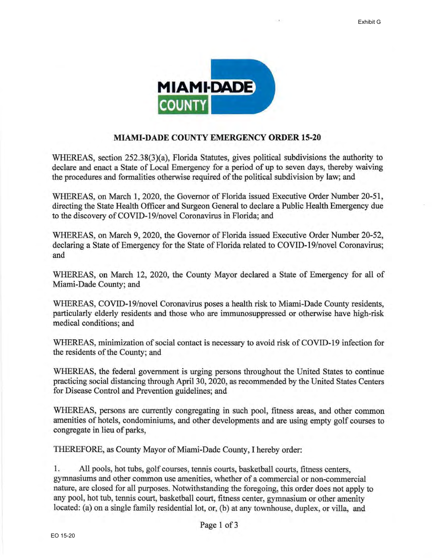

## **MIAMI-DADE COUNTY EMERGENCY ORDER 15-20**

WHEREAS, section 252.38(3)(a), Florida Statutes, gives political subdivisions the authority to declare and enact a State of Local Emergency for a period of up to seven days, thereby waiving the procedures and formalities otherwise required of the political subdivision by law; and

WHEREAS, on March 1, 2020, the Governor of Florida issued Executive Order Number 20-51, directing the State Health Officer and Surgeon General to declare a Public Health Emergency due to the discovery of COVID-19/novel Coronavirus in Florida; and

WHEREAS, on March 9, 2020, the Governor of Florida issued Executive Order Number 20-52, declaring a State of Emergency for the State of Florida related to COVID-19/novel Coronavirus; and

WHEREAS, on March 12, 2020, the County Mayor declared a State of Emergency for all of Miami-Dade County; and

WHEREAS, COVID-19/novel Coronavirus poses a health risk to Miami-Dade County residents, particularly elderly residents and those who are immunosuppressed or otherwise have high-risk medical conditions; and

WHEREAS, minimization of social contact is necessary to avoid risk of COVID-19 infection for the residents of the County; and

WHEREAS, the federal government is urging persons throughout the United States to continue practicing social distancing through April 30, 2020, as recommended by the United States Centers for Disease Control and Prevention guidelines; and

WHEREAS, persons are currently congregating in such pool, fitness areas, and other common amenities of hotels, condominiums, and other developments and are using empty golf courses to congregate in lieu of parks,

THEREFORE, as County Mayor of Miami-Dade County, I hereby order:

1. All pools, hot tubs, golf courses, tennis courts, basketball courts, fitness centers, gymnasiums and other common use amenities, whether of a commercial or non-commercial nature, are closed for all purposes. Notwithstanding the foregoing, this order does not apply to any pool, hot tub, tennis court, basketball court, fitness center, gymnasium or other amenity located: (a) on a single family residential lot, or, (b) at any townhouse, duplex, or villa, and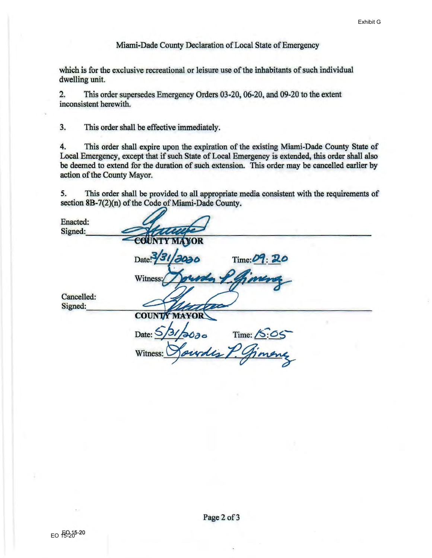## Miami-Dade County Declaration of Local State of Emergency

which is for the exclusive recreational or leisure use of the inhabitants of such individual dwelling unit.

2. This order supersedes Emergency Orders 03-20, 06-20, and 09-20 to the extent inconsistent herewith.

3. This order shall be effective immediately.

4. This order shall expire upon the expiration of the existing Miami-Dade County State of Local Emergency, except that if such State of Local Emergency is extended, this order shall also be deemed to extend for the duration of such extension. This order may be cancelled earlier by action of the County Mayor.

5. This order shall be provided to all appropriate media consistent with the requirements of section 8B-7(2)(n) of the Code of Miami-Dade County.

| Enacted:<br>Signed:   |                                                      |
|-----------------------|------------------------------------------------------|
|                       | COUNTY MAYOR<br>Date:<br>9030<br>Time: 09: 20        |
|                       | Witness:/                                            |
| Cancelled:<br>Signed: |                                                      |
|                       | <b>COUNTY MAYOR</b>                                  |
|                       | Date:<br>Time: 15:05<br>2000<br>indis 7.<br>Witness: |